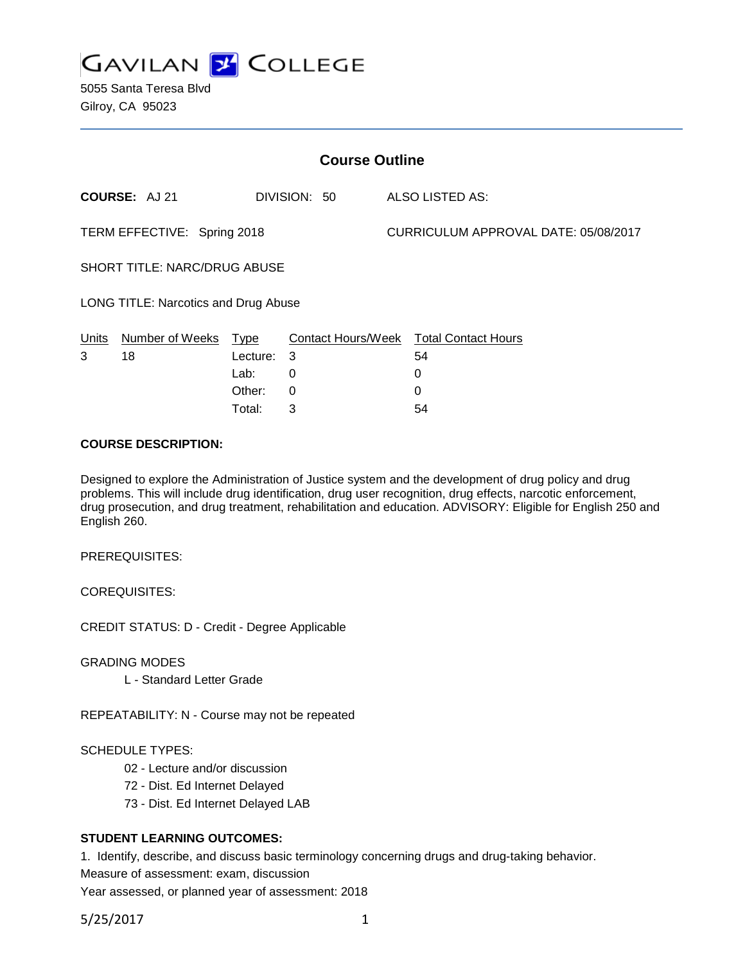

5055 Santa Teresa Blvd Gilroy, CA 95023

| <b>Course Outline</b>                |                 |             |              |  |                                        |  |
|--------------------------------------|-----------------|-------------|--------------|--|----------------------------------------|--|
|                                      | COURSE: AJ 21   |             | DIVISION: 50 |  | ALSO LISTED AS:                        |  |
| TERM EFFECTIVE: Spring 2018          |                 |             |              |  | CURRICULUM APPROVAL DATE: 05/08/2017   |  |
| <b>SHORT TITLE: NARC/DRUG ABUSE</b>  |                 |             |              |  |                                        |  |
| LONG TITLE: Narcotics and Drug Abuse |                 |             |              |  |                                        |  |
| Units                                | Number of Weeks | <u>Type</u> |              |  | Contact Hours/Week Total Contact Hours |  |
| 3                                    | 18              | Lecture:    | -3           |  | 54                                     |  |
|                                      |                 | Lab:        | 0            |  | 0                                      |  |
|                                      |                 | Other:      | 0            |  | 0                                      |  |

### **COURSE DESCRIPTION:**

Designed to explore the Administration of Justice system and the development of drug policy and drug problems. This will include drug identification, drug user recognition, drug effects, narcotic enforcement, drug prosecution, and drug treatment, rehabilitation and education. ADVISORY: Eligible for English 250 and English 260.

Total: 3 54

PREREQUISITES:

COREQUISITES:

CREDIT STATUS: D - Credit - Degree Applicable

GRADING MODES

L - Standard Letter Grade

REPEATABILITY: N - Course may not be repeated

#### SCHEDULE TYPES:

- 02 Lecture and/or discussion
- 72 Dist. Ed Internet Delayed
- 73 Dist. Ed Internet Delayed LAB

## **STUDENT LEARNING OUTCOMES:**

1. Identify, describe, and discuss basic terminology concerning drugs and drug-taking behavior. Measure of assessment: exam, discussion

Year assessed, or planned year of assessment: 2018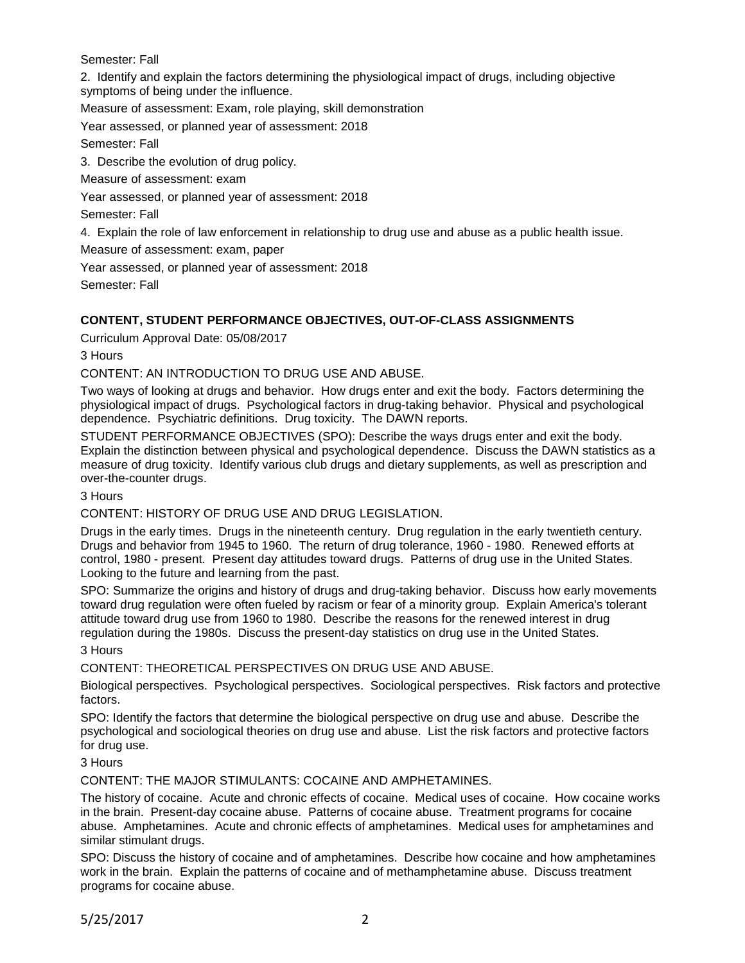Semester: Fall

2. Identify and explain the factors determining the physiological impact of drugs, including objective symptoms of being under the influence.

Measure of assessment: Exam, role playing, skill demonstration

Year assessed, or planned year of assessment: 2018

Semester: Fall

3. Describe the evolution of drug policy.

Measure of assessment: exam

Year assessed, or planned year of assessment: 2018

Semester: Fall

4. Explain the role of law enforcement in relationship to drug use and abuse as a public health issue.

Measure of assessment: exam, paper

Year assessed, or planned year of assessment: 2018

Semester: Fall

# **CONTENT, STUDENT PERFORMANCE OBJECTIVES, OUT-OF-CLASS ASSIGNMENTS**

Curriculum Approval Date: 05/08/2017

3 Hours

## CONTENT: AN INTRODUCTION TO DRUG USE AND ABUSE.

Two ways of looking at drugs and behavior. How drugs enter and exit the body. Factors determining the physiological impact of drugs. Psychological factors in drug-taking behavior. Physical and psychological dependence. Psychiatric definitions. Drug toxicity. The DAWN reports.

STUDENT PERFORMANCE OBJECTIVES (SPO): Describe the ways drugs enter and exit the body. Explain the distinction between physical and psychological dependence. Discuss the DAWN statistics as a measure of drug toxicity. Identify various club drugs and dietary supplements, as well as prescription and over-the-counter drugs.

3 Hours

CONTENT: HISTORY OF DRUG USE AND DRUG LEGISLATION.

Drugs in the early times. Drugs in the nineteenth century. Drug regulation in the early twentieth century. Drugs and behavior from 1945 to 1960. The return of drug tolerance, 1960 - 1980. Renewed efforts at control, 1980 - present. Present day attitudes toward drugs. Patterns of drug use in the United States. Looking to the future and learning from the past.

SPO: Summarize the origins and history of drugs and drug-taking behavior. Discuss how early movements toward drug regulation were often fueled by racism or fear of a minority group. Explain America's tolerant attitude toward drug use from 1960 to 1980. Describe the reasons for the renewed interest in drug regulation during the 1980s. Discuss the present-day statistics on drug use in the United States.

3 Hours

CONTENT: THEORETICAL PERSPECTIVES ON DRUG USE AND ABUSE.

Biological perspectives. Psychological perspectives. Sociological perspectives. Risk factors and protective factors.

SPO: Identify the factors that determine the biological perspective on drug use and abuse. Describe the psychological and sociological theories on drug use and abuse. List the risk factors and protective factors for drug use.

3 Hours

CONTENT: THE MAJOR STIMULANTS: COCAINE AND AMPHETAMINES.

The history of cocaine. Acute and chronic effects of cocaine. Medical uses of cocaine. How cocaine works in the brain. Present-day cocaine abuse. Patterns of cocaine abuse. Treatment programs for cocaine abuse. Amphetamines. Acute and chronic effects of amphetamines. Medical uses for amphetamines and similar stimulant drugs.

SPO: Discuss the history of cocaine and of amphetamines. Describe how cocaine and how amphetamines work in the brain. Explain the patterns of cocaine and of methamphetamine abuse. Discuss treatment programs for cocaine abuse.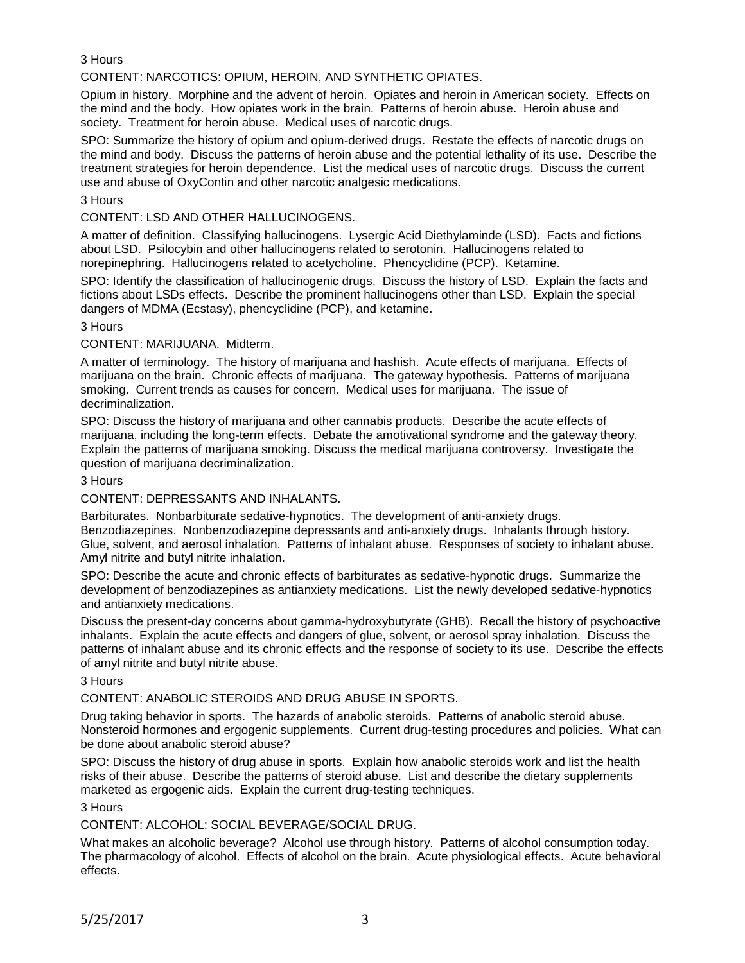3 Hours

CONTENT: NARCOTICS: OPIUM, HEROIN, AND SYNTHETIC OPIATES.

Opium in history. Morphine and the advent of heroin. Opiates and heroin in American society. Effects on the mind and the body. How opiates work in the brain. Patterns of heroin abuse. Heroin abuse and society. Treatment for heroin abuse. Medical uses of narcotic drugs.

SPO: Summarize the history of opium and opium-derived drugs. Restate the effects of narcotic drugs on the mind and body. Discuss the patterns of heroin abuse and the potential lethality of its use. Describe the treatment strategies for heroin dependence. List the medical uses of narcotic drugs. Discuss the current use and abuse of OxyContin and other narcotic analgesic medications.

### 3 Hours

CONTENT: LSD AND OTHER HALLUCINOGENS.

A matter of definition. Classifying hallucinogens. Lysergic Acid Diethylaminde (LSD). Facts and fictions about LSD. Psilocybin and other hallucinogens related to serotonin. Hallucinogens related to norepinephring. Hallucinogens related to acetycholine. Phencyclidine (PCP). Ketamine.

SPO: Identify the classification of hallucinogenic drugs. Discuss the history of LSD. Explain the facts and fictions about LSDs effects. Describe the prominent hallucinogens other than LSD. Explain the special dangers of MDMA (Ecstasy), phencyclidine (PCP), and ketamine.

#### 3 Hours

### CONTENT: MARIJUANA. Midterm.

A matter of terminology. The history of marijuana and hashish. Acute effects of marijuana. Effects of marijuana on the brain. Chronic effects of marijuana. The gateway hypothesis. Patterns of marijuana smoking. Current trends as causes for concern. Medical uses for marijuana. The issue of decriminalization.

SPO: Discuss the history of marijuana and other cannabis products. Describe the acute effects of marijuana, including the long-term effects. Debate the amotivational syndrome and the gateway theory. Explain the patterns of marijuana smoking. Discuss the medical marijuana controversy. Investigate the question of marijuana decriminalization.

## 3 Hours

#### CONTENT: DEPRESSANTS AND INHALANTS.

Barbiturates. Nonbarbiturate sedative-hypnotics. The development of anti-anxiety drugs. Benzodiazepines. Nonbenzodiazepine depressants and anti-anxiety drugs. Inhalants through history. Glue, solvent, and aerosol inhalation. Patterns of inhalant abuse. Responses of society to inhalant abuse. Amyl nitrite and butyl nitrite inhalation.

SPO: Describe the acute and chronic effects of barbiturates as sedative-hypnotic drugs. Summarize the development of benzodiazepines as antianxiety medications. List the newly developed sedative-hypnotics and antianxiety medications.

Discuss the present-day concerns about gamma-hydroxybutyrate (GHB). Recall the history of psychoactive inhalants. Explain the acute effects and dangers of glue, solvent, or aerosol spray inhalation. Discuss the patterns of inhalant abuse and its chronic effects and the response of society to its use. Describe the effects of amyl nitrite and butyl nitrite abuse.

#### 3 Hours

### CONTENT: ANABOLIC STEROIDS AND DRUG ABUSE IN SPORTS.

Drug taking behavior in sports. The hazards of anabolic steroids. Patterns of anabolic steroid abuse. Nonsteroid hormones and ergogenic supplements. Current drug-testing procedures and policies. What can be done about anabolic steroid abuse?

SPO: Discuss the history of drug abuse in sports. Explain how anabolic steroids work and list the health risks of their abuse. Describe the patterns of steroid abuse. List and describe the dietary supplements marketed as ergogenic aids. Explain the current drug-testing techniques.

#### 3 Hours

## CONTENT: ALCOHOL: SOCIAL BEVERAGE/SOCIAL DRUG.

What makes an alcoholic beverage? Alcohol use through history. Patterns of alcohol consumption today. The pharmacology of alcohol. Effects of alcohol on the brain. Acute physiological effects. Acute behavioral effects.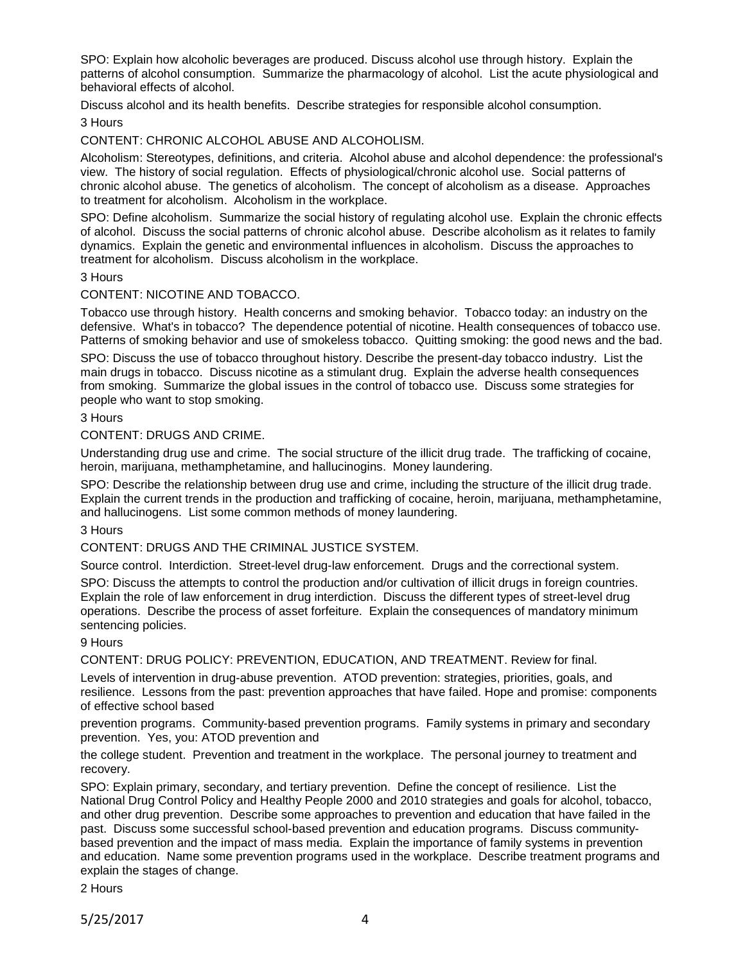SPO: Explain how alcoholic beverages are produced. Discuss alcohol use through history. Explain the patterns of alcohol consumption. Summarize the pharmacology of alcohol. List the acute physiological and behavioral effects of alcohol.

Discuss alcohol and its health benefits. Describe strategies for responsible alcohol consumption.

# 3 Hours

CONTENT: CHRONIC ALCOHOL ABUSE AND ALCOHOLISM.

Alcoholism: Stereotypes, definitions, and criteria. Alcohol abuse and alcohol dependence: the professional's view. The history of social regulation. Effects of physiological/chronic alcohol use. Social patterns of chronic alcohol abuse. The genetics of alcoholism. The concept of alcoholism as a disease. Approaches to treatment for alcoholism. Alcoholism in the workplace.

SPO: Define alcoholism. Summarize the social history of regulating alcohol use. Explain the chronic effects of alcohol. Discuss the social patterns of chronic alcohol abuse. Describe alcoholism as it relates to family dynamics. Explain the genetic and environmental influences in alcoholism. Discuss the approaches to treatment for alcoholism. Discuss alcoholism in the workplace.

## 3 Hours

### CONTENT: NICOTINE AND TOBACCO.

Tobacco use through history. Health concerns and smoking behavior. Tobacco today: an industry on the defensive. What's in tobacco? The dependence potential of nicotine. Health consequences of tobacco use. Patterns of smoking behavior and use of smokeless tobacco. Quitting smoking: the good news and the bad.

SPO: Discuss the use of tobacco throughout history. Describe the present-day tobacco industry. List the main drugs in tobacco. Discuss nicotine as a stimulant drug. Explain the adverse health consequences from smoking. Summarize the global issues in the control of tobacco use. Discuss some strategies for people who want to stop smoking.

### 3 Hours

CONTENT: DRUGS AND CRIME.

Understanding drug use and crime. The social structure of the illicit drug trade. The trafficking of cocaine, heroin, marijuana, methamphetamine, and hallucinogins. Money laundering.

SPO: Describe the relationship between drug use and crime, including the structure of the illicit drug trade. Explain the current trends in the production and trafficking of cocaine, heroin, marijuana, methamphetamine, and hallucinogens. List some common methods of money laundering.

3 Hours

CONTENT: DRUGS AND THE CRIMINAL JUSTICE SYSTEM.

Source control. Interdiction. Street-level drug-law enforcement. Drugs and the correctional system.

SPO: Discuss the attempts to control the production and/or cultivation of illicit drugs in foreign countries. Explain the role of law enforcement in drug interdiction. Discuss the different types of street-level drug operations. Describe the process of asset forfeiture. Explain the consequences of mandatory minimum sentencing policies.

9 Hours

CONTENT: DRUG POLICY: PREVENTION, EDUCATION, AND TREATMENT. Review for final.

Levels of intervention in drug-abuse prevention. ATOD prevention: strategies, priorities, goals, and resilience. Lessons from the past: prevention approaches that have failed. Hope and promise: components of effective school based

prevention programs. Community-based prevention programs. Family systems in primary and secondary prevention. Yes, you: ATOD prevention and

the college student. Prevention and treatment in the workplace. The personal journey to treatment and recovery.

SPO: Explain primary, secondary, and tertiary prevention. Define the concept of resilience. List the National Drug Control Policy and Healthy People 2000 and 2010 strategies and goals for alcohol, tobacco, and other drug prevention. Describe some approaches to prevention and education that have failed in the past. Discuss some successful school-based prevention and education programs. Discuss communitybased prevention and the impact of mass media. Explain the importance of family systems in prevention and education. Name some prevention programs used in the workplace. Describe treatment programs and explain the stages of change.

2 Hours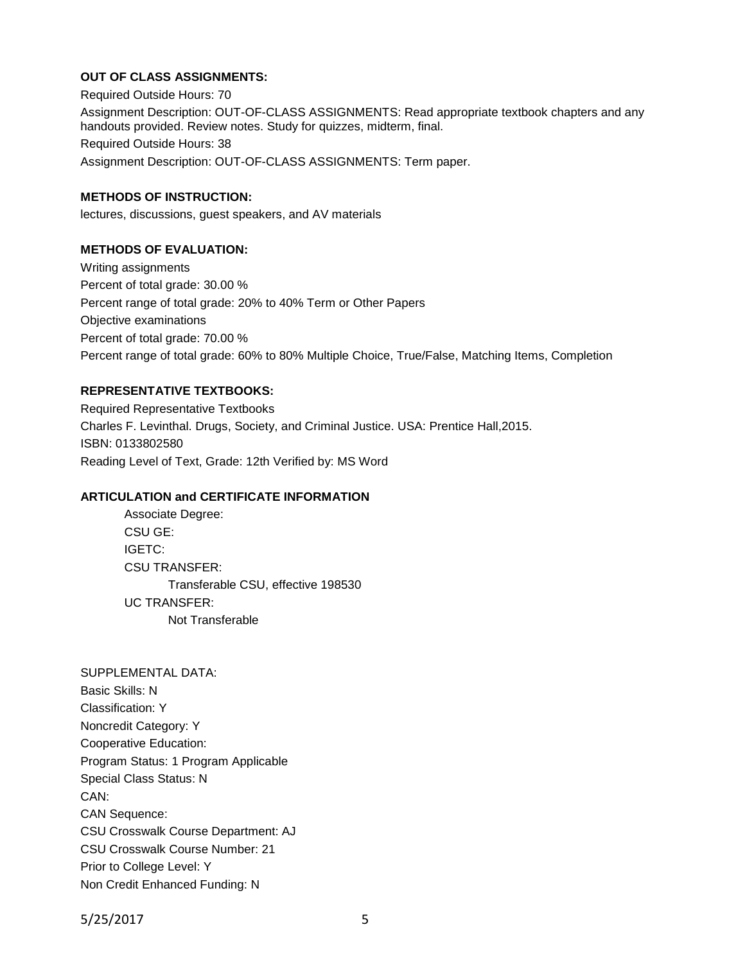## **OUT OF CLASS ASSIGNMENTS:**

Required Outside Hours: 70 Assignment Description: OUT-OF-CLASS ASSIGNMENTS: Read appropriate textbook chapters and any handouts provided. Review notes. Study for quizzes, midterm, final. Required Outside Hours: 38 Assignment Description: OUT-OF-CLASS ASSIGNMENTS: Term paper.

## **METHODS OF INSTRUCTION:**

lectures, discussions, guest speakers, and AV materials

## **METHODS OF EVALUATION:**

Writing assignments Percent of total grade: 30.00 % Percent range of total grade: 20% to 40% Term or Other Papers Objective examinations Percent of total grade: 70.00 % Percent range of total grade: 60% to 80% Multiple Choice, True/False, Matching Items, Completion

## **REPRESENTATIVE TEXTBOOKS:**

Required Representative Textbooks Charles F. Levinthal. Drugs, Society, and Criminal Justice. USA: Prentice Hall,2015. ISBN: 0133802580 Reading Level of Text, Grade: 12th Verified by: MS Word

## **ARTICULATION and CERTIFICATE INFORMATION**

Associate Degree: CSU GE: IGETC: CSU TRANSFER: Transferable CSU, effective 198530 UC TRANSFER: Not Transferable

SUPPLEMENTAL DATA: Basic Skills: N Classification: Y Noncredit Category: Y Cooperative Education: Program Status: 1 Program Applicable Special Class Status: N CAN: CAN Sequence: CSU Crosswalk Course Department: AJ CSU Crosswalk Course Number: 21 Prior to College Level: Y Non Credit Enhanced Funding: N

5/25/2017 5